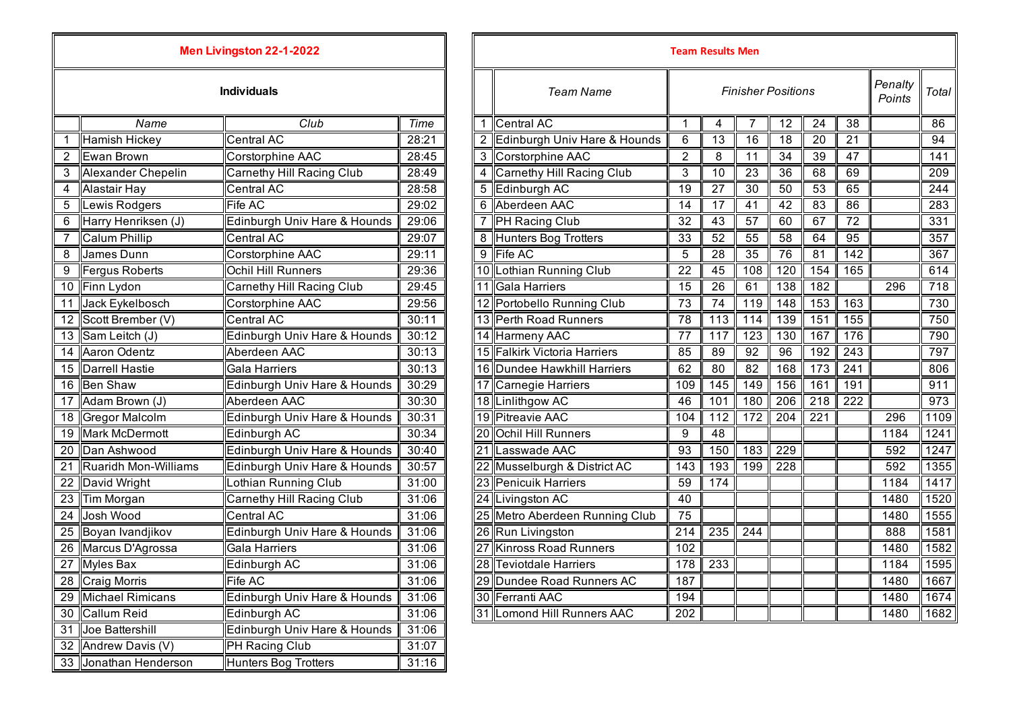|    |                         | Men Livingston 22-1-2022     |       |   |                                |                 | Team Results Men |                           |     |                 |                  |                   |                  |
|----|-------------------------|------------------------------|-------|---|--------------------------------|-----------------|------------------|---------------------------|-----|-----------------|------------------|-------------------|------------------|
|    |                         | <b>Individuals</b>           |       |   | <b>Team Name</b>               |                 |                  | <b>Finisher Positions</b> |     |                 |                  | Penalty<br>Points | Total            |
|    | Name                    | Club                         | Time  |   | Central AC                     | -1              | 4                | 7                         | 12  | 24              | 38               |                   | 86               |
|    | <b>Hamish Hickey</b>    | Central AC                   | 28:21 |   | 2 Edinburgh Univ Hare & Hounds | 6               | 13               | 16                        | 18  | 20              | 21               |                   | 94               |
| 2  | Ewan Brown              | <b>Corstorphine AAC</b>      | 28:45 |   | 3 Corstorphine AAC             | $\overline{2}$  | 8                | 11                        | 34  | $\overline{39}$ | 47               |                   | 141              |
| 3  | Alexander Chepelin      | Carnethy Hill Racing Club    | 28:49 |   | Carnethy Hill Racing Club      | 3               | 10               | 23                        | 36  | 68              | 69               |                   | 209              |
| 4  | Alastair Hay            | Central AC                   | 28:58 |   | 5 Edinburgh AC                 | 19              | 27               | 30                        | 50  | 53              | 65               |                   | 244              |
| 5  | Lewis Rodgers           | Fife AC                      | 29:02 |   | 6 Aberdeen AAC                 | 14              | 17               | 41                        | 42  | 83              | 86               |                   | 283              |
| 6  | Harry Henriksen (J)     | Edinburgh Univ Hare & Hounds | 29:06 |   | <b>PH Racing Club</b>          | 32              | 43               | 57                        | 60  | 67              | 72               |                   | 331              |
| 7  | <b>Calum Phillip</b>    | Central AC                   | 29:07 | 8 | Hunters Bog Trotters           | 33              | 52               | 55                        | 58  | 64              | 95               |                   | 357              |
| 8  | James Dunn              | Corstorphine AAC             | 29:11 |   | 9 Fife AC                      | 5               | 28               | 35                        | 76  | 81              | 142              |                   | 367              |
| 9  | Fergus Roberts          | <b>Ochil Hill Runners</b>    | 29:36 |   | 10 Lothian Running Club        | $\overline{22}$ | 45               | 108                       | 120 | 154             | 165              |                   | 614              |
| 10 | Finn Lydon              | Carnethy Hill Racing Club    | 29:45 |   | 11 Gala Harriers               | 15              | 26               | 61                        | 138 | 182             |                  | 296               | $\overline{718}$ |
| 11 | Jack Eykelbosch         | Corstorphine AAC             | 29:56 |   | 12 Portobello Running Club     | 73              | 74               | 119                       | 148 | 153             | 163              |                   | 730              |
| 12 | Scott Brember (V)       | Central AC                   | 30:11 |   | 13 Perth Road Runners          | 78              | 113              | 114                       | 139 | 151             | 155              |                   | 750              |
| 13 | Sam Leitch (J)          | Edinburgh Univ Hare & Hounds | 30:12 |   | 14 Harmeny AAC                 | 77              | 117              | $\overline{123}$          | 130 | 167             | 176              |                   | 790              |
| 14 | Aaron Odentz            | Aberdeen AAC                 | 30:13 |   | 15 Falkirk Victoria Harriers   | 85              | 89               | 92                        | 96  | 192             | 243              |                   | 797              |
| 15 | Darrell Hastie          | Gala Harriers                | 30:13 |   | 16 Dundee Hawkhill Harriers    | 62              | 80               | 82                        | 168 | 173             | $\overline{241}$ |                   | 806              |
| 16 | <b>Ben Shaw</b>         | Edinburgh Univ Hare & Hounds | 30:29 |   | 17 Carnegie Harriers           | 109             | 145              | 149                       | 156 | 161             | 191              |                   | 911              |
| 17 | Adam Brown (J)          | Aberdeen AAC                 | 30:30 |   | 18 Linlithgow AC               | 46              | 101              | 180                       | 206 | 218             | 222              |                   | $\overline{973}$ |
| 18 | Gregor Malcolm          | Edinburgh Univ Hare & Hounds | 30:31 |   | 19 Pitreavie AAC               | 104             | 112              | 172                       | 204 | 221             |                  | 296               | 1109             |
| 19 | Mark McDermott          | Edinburgh AC                 | 30:34 |   | 20 Ochil Hill Runners          | 9               | 48               |                           |     |                 |                  | 1184              | 1241             |
| 20 | Dan Ashwood             | Edinburgh Univ Hare & Hounds | 30:40 |   | 21 Lasswade AAC                | 93              | 150              | 183                       | 229 |                 |                  | 592               | 1247             |
| 21 | Ruaridh Mon-Williams    | Edinburgh Univ Hare & Hounds | 30:57 |   | 22 Musselburgh & District AC   | 143             | 193              | 199                       | 228 |                 |                  | 592               | 1355             |
| 22 | David Wright            | Lothian Running Club         | 31:00 |   | 23 Penicuik Harriers           | 59              | 174              |                           |     |                 |                  | 1184              | 1417             |
| 23 | Tim Morgan              | Carnethy Hill Racing Club    | 31:06 |   | 24 Livingston AC               | 40              |                  |                           |     |                 |                  | 1480              | 1520             |
| 24 | Josh Wood               | <b>Central AC</b>            | 31:06 |   | 25 Metro Aberdeen Running Club | 75              |                  |                           |     |                 |                  | 1480              | 1555             |
| 25 | Boyan Ivandjikov        | Edinburgh Univ Hare & Hounds | 31:06 |   | 26 Run Livingston              | 214             | 235              | 244                       |     |                 |                  | 888               | 1581             |
| 26 | Marcus D'Agrossa        | Gala Harriers                | 31:06 |   | <b>Kinross Road Runners</b>    | 102             |                  |                           |     |                 |                  | 1480              | 1582             |
| 27 | <b>Myles Bax</b>        | Edinburgh AC                 | 31:06 |   | 28 Teviotdale Harriers         | 178             | 233              |                           |     |                 |                  | 1184              | 1595             |
|    | 28 Craig Morris         | Fife AC                      | 31:06 |   | 29 Dundee Road Runners AC      | 187             |                  |                           |     |                 |                  | 1480              | 1667             |
| 29 | <b>Michael Rimicans</b> | Edinburgh Univ Hare & Hounds | 31:06 |   | 30 Ferranti AAC                | 194             |                  |                           |     |                 |                  | 1480              | 1674             |
| 30 | Callum Reid             | Edinburgh AC                 | 31:06 |   | 31 Lomond Hill Runners AAC     | 202             |                  |                           |     |                 |                  | 1480              | 1682             |
|    | 31 Joe Battershill      | Edinburgh Univ Hare & Hounds | 31:06 |   |                                |                 |                  |                           |     |                 |                  |                   |                  |
|    | 32 Andrew Davis (V)     | PH Racing Club               | 31:07 |   |                                |                 |                  |                           |     |                 |                  |                   |                  |
|    | 33 Jonathan Henderson   | <b>Hunters Bog Trotters</b>  | 31:16 |   |                                |                 |                  |                           |     |                 |                  |                   |                  |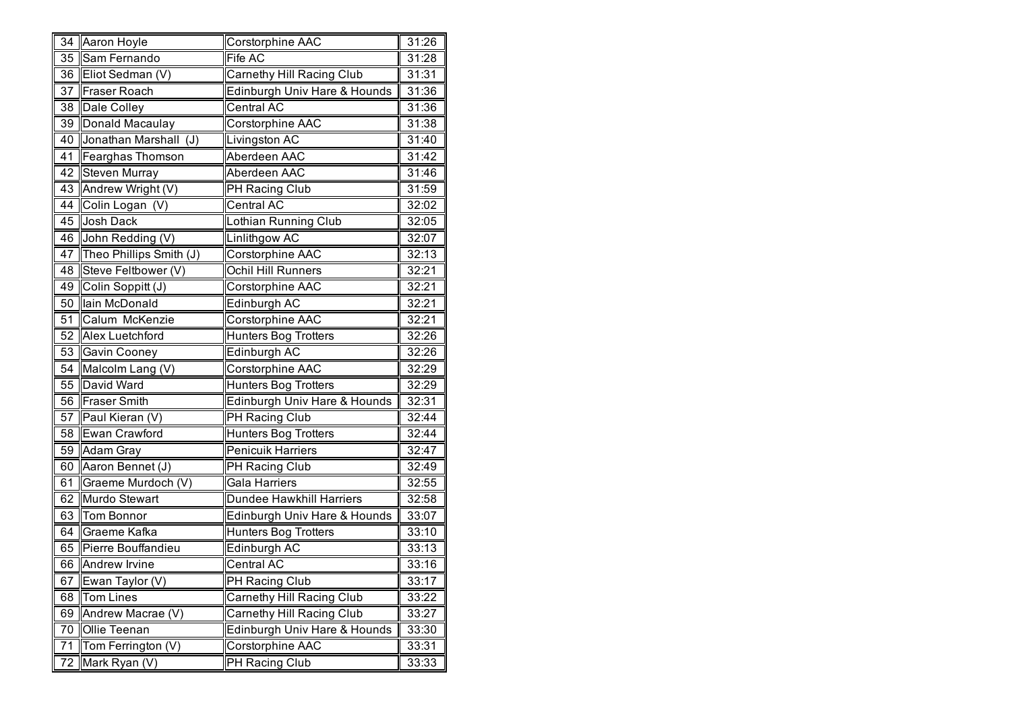| 34              | Aaron Hoyle             | Corstorphine AAC                 | 31:26 |
|-----------------|-------------------------|----------------------------------|-------|
| 35              | Sam Fernando            | Fife AC                          | 31:28 |
| 36              | Eliot Sedman (V)        | <b>Carnethy Hill Racing Club</b> | 31:31 |
| 37              | <b>Fraser Roach</b>     | Edinburgh Univ Hare & Hounds     | 31:36 |
| 38              | Dale Colley             | Central AC                       | 31:36 |
| $\overline{39}$ | Donald Macaulay         | Corstorphine AAC                 | 31:38 |
| 40              | Jonathan Marshall (J)   | Livingston AC                    | 31:40 |
| 41              | Fearghas Thomson        | Aberdeen AAC                     | 31:42 |
| 42              | <b>Steven Murray</b>    | Aberdeen AAC                     | 31:46 |
| 43              | Andrew Wright (V)       | PH Racing Club                   | 31:59 |
| 44              | Colin Logan (V)         | Central AC                       | 32:02 |
| 45              | <b>Josh Dack</b>        | Lothian Running Club             | 32:05 |
| 46              | John Redding (V)        | Linlithgow AC                    | 32:07 |
| 47              | Theo Phillips Smith (J) | Corstorphine AAC                 | 32:13 |
| 48              | Steve Feltbower (V)     | Ochil Hill Runners               | 32:21 |
| 49              | Colin Soppitt (J)       | Corstorphine AAC                 | 32:21 |
| 50              | lain McDonald           | Edinburgh AC                     | 32:21 |
| 51              | Calum McKenzie          | Corstorphine AAC                 | 32:21 |
| 52              | Alex Luetchford         | Hunters Bog Trotters             | 32:26 |
| 53              | Gavin Cooney            | Edinburgh AC                     | 32:26 |
| 54              | Malcolm Lang (V)        | Corstorphine AAC                 | 32:29 |
| 55              | David Ward              | Hunters Bog Trotters             | 32:29 |
| 56              | <b>Fraser Smith</b>     | Edinburgh Univ Hare & Hounds     | 32:31 |
| 57              | Paul Kieran (V)         | PH Racing Club                   | 32:44 |
| 58              | Ewan Crawford           | Hunters Bog Trotters             | 32:44 |
| 59              | Adam Gray               | Penicuik Harriers                | 32:47 |
| 60              | Aaron Bennet (J)        | PH Racing Club                   | 32:49 |
| 61              | Graeme Murdoch (V)      | Gala Harriers                    | 32:55 |
| 62              | Murdo Stewart           | Dundee Hawkhill Harriers         | 32:58 |
| 63              | <b>Tom Bonnor</b>       | Edinburgh Univ Hare & Hounds     | 33:07 |
| 64              | Graeme Kafka            | Hunters Bog Trotters             | 33:10 |
| 65              | Pierre Bouffandieu      | Edinburgh AC                     | 33:13 |
| 66              | Andrew Irvine           | Central AC                       | 33:16 |
| 67              | Ewan Taylor (V)         | PH Racing Club                   | 33:17 |
| 68              | <b>Tom Lines</b>        | Carnethy Hill Racing Club        | 33:22 |
| 69              | Andrew Macrae (V)       | Carnethy Hill Racing Club        | 33:27 |
| 70              | Ollie Teenan            | Edinburgh Univ Hare & Hounds     | 33:30 |
| 71              | Tom Ferrington (V)      | Corstorphine AAC                 | 33:31 |
| 72              | Mark Ryan (V)           | PH Racing Club                   | 33:33 |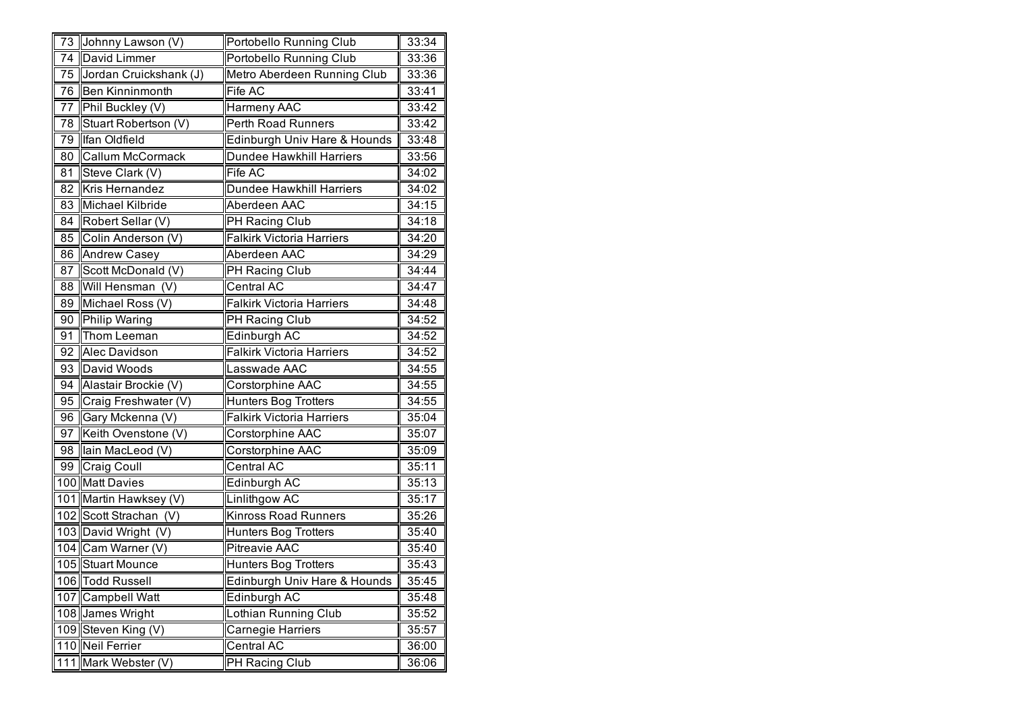| 73  | Johnny Lawson (V)      | Portobello Running Club          | 33:34 |
|-----|------------------------|----------------------------------|-------|
| 74  | David Limmer           | Portobello Running Club          | 33:36 |
| 75  | Jordan Cruickshank (J) | Metro Aberdeen Running Club      | 33:36 |
| 76  | Ben Kinninmonth        | Fife AC                          | 33:41 |
| 77  | Phil Buckley (V)       | Harmeny AAC                      | 33:42 |
| 78  | Stuart Robertson (V)   | Perth Road Runners               | 33:42 |
| 79  | Ifan Oldfield          | Edinburgh Univ Hare & Hounds     | 33:48 |
| 80  | Callum McCormack       | Dundee Hawkhill Harriers         | 33:56 |
| 81  | Steve Clark (V)        | Fife AC                          | 34:02 |
| 82  | Kris Hernandez         | Dundee Hawkhill Harriers         | 34:02 |
| 83  | Michael Kilbride       | Aberdeen AAC                     | 34:15 |
| 84  | Robert Sellar (V)      | PH Racing Club                   | 34:18 |
| 85  | Colin Anderson (V)     | <b>Falkirk Victoria Harriers</b> | 34:20 |
| 86  | Andrew Casey           | Aberdeen AAC                     | 34:29 |
| 87  | Scott McDonald (V)     | PH Racing Club                   | 34:44 |
| 88  | Will Hensman (V)       | Central AC                       | 34:47 |
| 89  | Michael Ross (V)       | <b>Falkirk Victoria Harriers</b> | 34:48 |
| 90  | <b>Philip Waring</b>   | <b>PH Racing Club</b>            | 34:52 |
| 91  | Thom Leeman            | Edinburgh AC                     | 34:52 |
| 92  | Alec Davidson          | Falkirk Victoria Harriers        | 34:52 |
| 93  | <b>David Woods</b>     | Lasswade AAC                     | 34:55 |
| 94  | Alastair Brockie (V)   | Corstorphine AAC                 | 34:55 |
| 95  | Craig Freshwater (V)   | Hunters Bog Trotters             | 34:55 |
| 96  | Gary Mckenna (V)       | <b>Falkirk Victoria Harriers</b> | 35:04 |
| 97  | Keith Ovenstone (V)    | Corstorphine AAC                 | 35:07 |
| 98  | lain MacLeod (V)       | Corstorphine AAC                 | 35:09 |
| 99  | Craig Coull            | Central AC                       | 35:11 |
|     | 100 Matt Davies        | Edinburgh AC                     | 35:13 |
|     | 101 Martin Hawksey (V) | Linlithgow AC                    | 35:17 |
|     | 102 Scott Strachan (V) | Kinross Road Runners             | 35:26 |
|     | 103 David Wright (V)   | Hunters Bog Trotters             | 35:40 |
|     | 104 Cam Warner (V)     | Pitreavie AAC                    | 35:40 |
|     | 105 Stuart Mounce      | Hunters Bog Trotters             | 35:43 |
|     | 106 Todd Russell       | Edinburgh Univ Hare & Hounds     | 35:45 |
| 107 | <b>Campbell Watt</b>   | Edinburgh AC                     | 35:48 |
|     | 108 James Wright       | Lothian Running Club             | 35:52 |
|     | 109 Steven King (V)    | Carnegie Harriers                | 35:57 |
|     | 110 Neil Ferrier       | Central AC                       | 36:00 |
| 111 | Mark Webster (V)       | PH Racing Club                   | 36:06 |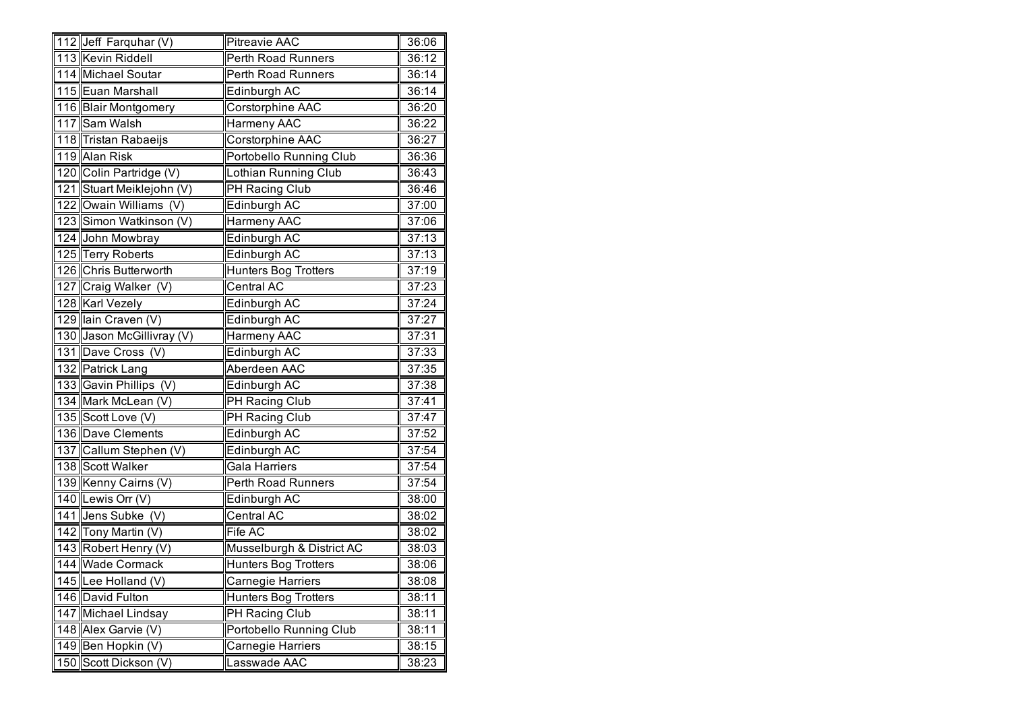|     | 112 Jeff Farquhar (V)     | Pitreavie AAC               | 36:06 |
|-----|---------------------------|-----------------------------|-------|
|     | 113 Kevin Riddell         | Perth Road Runners          | 36:12 |
|     | 114 Michael Soutar        | Perth Road Runners          | 36:14 |
|     | 115 Euan Marshall         | Edinburgh AC                | 36:14 |
|     | 116 Blair Montgomery      | Corstorphine AAC            | 36:20 |
|     | 117 Sam Walsh             | Harmeny AAC                 | 36:22 |
|     | 118 Tristan Rabaeijs      | Corstorphine AAC            | 36:27 |
|     | 119 Alan Risk             | Portobello Running Club     | 36:36 |
|     | 120 Colin Partridge (V)   | Lothian Running Club        | 36:43 |
|     | 121 Stuart Meiklejohn (V) | PH Racing Club              | 36:46 |
|     | 122 Owain Williams (V)    | Edinburgh AC                | 37:00 |
|     | 123 Simon Watkinson (V)   | Harmeny AAC                 | 37:06 |
|     | 124 John Mowbray          | Edinburgh AC                | 37:13 |
|     | 125 Terry Roberts         | Edinburgh AC                | 37:13 |
|     | 126 Chris Butterworth     | <b>Hunters Bog Trotters</b> | 37:19 |
|     | 127 Craig Walker (V)      | Central AC                  | 37:23 |
|     | 128 Karl Vezely           | Edinburgh AC                | 37:24 |
|     | 129 Iain Craven (V)       | Edinburgh AC                | 37:27 |
|     | 130 Jason McGillivray (V) | Harmeny AAC                 | 37:31 |
|     | 131 Dave Cross (V)        | Edinburgh AC                | 37:33 |
|     | 132 Patrick Lang          | Aberdeen AAC                | 37:35 |
|     | 133 Gavin Phillips (V)    | Edinburgh AC                | 37:38 |
|     | 134 Mark McLean (V)       | <b>PH</b> Racing Club       | 37:41 |
|     | 135 Scott Love (V)        | <b>PH Racing Club</b>       | 37:47 |
|     | 136 Dave Clements         | Edinburgh AC                | 37:52 |
|     | 137 Callum Stephen (V)    | Edinburgh AC                | 37:54 |
|     | 138 Scott Walker          | Gala Harriers               | 37:54 |
|     | 139 Kenny Cairns (V)      | Perth Road Runners          | 37:54 |
|     | 140 Lewis Orr (V)         | Edinburgh AC                | 38:00 |
|     | 141 Jens Subke (V)        | Central AC                  | 38:02 |
|     | 142 Tony Martin (V)       | Fife AC                     | 38:02 |
|     | 143 Robert Henry (V)      | Musselburgh & District AC   | 38:03 |
|     | 144 Wade Cormack          | <b>Hunters Bog Trotters</b> | 38:06 |
|     | 145 Lee Holland (V)       | Carnegie Harriers           | 38:08 |
|     | 146 David Fulton          | Hunters Bog Trotters        | 38:11 |
|     | 147 Michael Lindsay       | PH Racing Club              | 38:11 |
|     | 148 Alex Garvie (V)       | Portobello Running Club     | 38:11 |
|     | 149 Ben Hopkin (V)        | Carnegie Harriers           | 38:15 |
| 150 | Scott Dickson (V)         | Lasswade AAC                | 38:23 |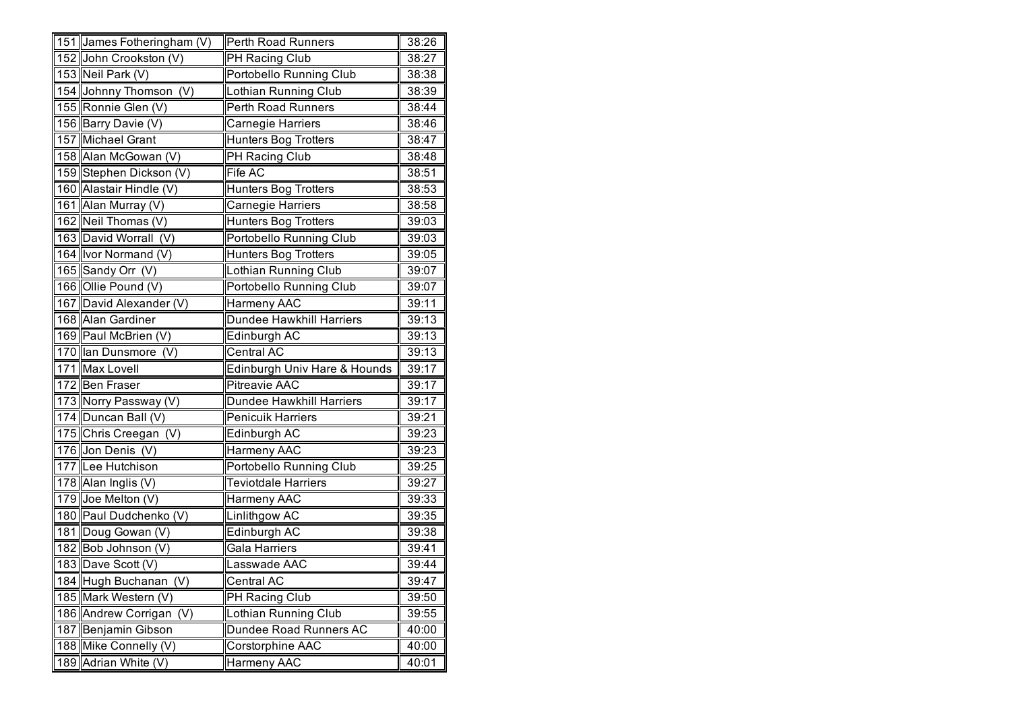| 151 James Fotheringham (V)<br>38:26<br>Perth Road Runners<br>152 John Crookston (V)<br>PH Racing Club<br>38:27<br>153 Neil Park (V)<br>Portobello Running Club<br>38:38<br>154 Johnny Thomson (V)<br>Lothian Running Club<br>38:39<br>155 Ronnie Glen (V)<br>Perth Road Runners<br>38:44<br>156 Barry Davie (V)<br>Carnegie Harriers<br>38:46<br>157 Michael Grant<br>Hunters Bog Trotters<br>38:47<br>158 Alan McGowan (V)<br>PH Racing Club<br>38:48<br>159 Stephen Dickson (V)<br>Fife AC<br>38:51<br>160 Alastair Hindle (V)<br>Hunters Bog Trotters<br>38:53<br>161 Alan Murray (V)<br>Carnegie Harriers<br>38:58<br>162 Neil Thomas (V)<br><b>Hunters Bog Trotters</b><br>39:03<br>163 David Worrall (V)<br>Portobello Running Club<br>39:03<br>164 Ivor Normand (V)<br><b>Hunters Bog Trotters</b><br>39:05<br>165 Sandy Orr (V)<br>Lothian Running Club<br>39:07<br>166 Ollie Pound (V)<br>Portobello Running Club<br>39:07<br>167 David Alexander (V)<br>Harmeny AAC<br>39:11<br>168 Alan Gardiner<br>Dundee Hawkhill Harriers<br>39:13<br>169 Paul McBrien (V)<br>Edinburgh AC<br>39:13<br>170 Ian Dunsmore (V)<br>Central AC<br>39:13<br>171 Max Lovell<br>Edinburgh Univ Hare & Hounds<br>39:17<br>172 Ben Fraser<br>Pitreavie AAC<br>39:17<br>173 Norry Passway (V)<br><b>Dundee Hawkhill Harriers</b><br>39:17<br>174 Duncan Ball (V)<br><b>Penicuik Harriers</b><br>39:21<br>175 Chris Creegan (V)<br>Edinburgh AC<br>39:23<br>176 Jon Denis (V)<br>Harmeny AAC<br>39:23<br>177 Lee Hutchison<br>Portobello Running Club<br>39:25<br>178 Alan Inglis (V)<br><b>Teviotdale Harriers</b><br>39:27<br>179 Joe Melton (V)<br>39:33<br>Harmeny AAC<br>180 Paul Dudchenko (V)<br>Linlithgow AC<br>39:35<br>181 Doug Gowan (V)<br>Edinburgh AC<br>39:38<br>182 Bob Johnson (V)<br>Gala Harriers<br>39:41<br>183 Dave Scott (V)<br>Lasswade AAC<br>39:44<br>184 Hugh Buchanan<br>(V)<br>Central AC<br>39:47<br>185 Mark Western (V)<br>PH Racing Club<br>39:50<br>186 Andrew Corrigan<br>(V)<br>Lothian Running Club<br>39:55<br>Dundee Road Runners AC<br>187<br>Benjamin Gibson<br>40:00<br>188 Mike Connelly (V)<br>Corstorphine AAC<br>40:00 |     |                  |             |       |
|---------------------------------------------------------------------------------------------------------------------------------------------------------------------------------------------------------------------------------------------------------------------------------------------------------------------------------------------------------------------------------------------------------------------------------------------------------------------------------------------------------------------------------------------------------------------------------------------------------------------------------------------------------------------------------------------------------------------------------------------------------------------------------------------------------------------------------------------------------------------------------------------------------------------------------------------------------------------------------------------------------------------------------------------------------------------------------------------------------------------------------------------------------------------------------------------------------------------------------------------------------------------------------------------------------------------------------------------------------------------------------------------------------------------------------------------------------------------------------------------------------------------------------------------------------------------------------------------------------------------------------------------------------------------------------------------------------------------------------------------------------------------------------------------------------------------------------------------------------------------------------------------------------------------------------------------------------------------------------------------------------------------------------------------------------------------------------------------------------------------------------------------------------|-----|------------------|-------------|-------|
|                                                                                                                                                                                                                                                                                                                                                                                                                                                                                                                                                                                                                                                                                                                                                                                                                                                                                                                                                                                                                                                                                                                                                                                                                                                                                                                                                                                                                                                                                                                                                                                                                                                                                                                                                                                                                                                                                                                                                                                                                                                                                                                                                         |     |                  |             |       |
|                                                                                                                                                                                                                                                                                                                                                                                                                                                                                                                                                                                                                                                                                                                                                                                                                                                                                                                                                                                                                                                                                                                                                                                                                                                                                                                                                                                                                                                                                                                                                                                                                                                                                                                                                                                                                                                                                                                                                                                                                                                                                                                                                         |     |                  |             |       |
|                                                                                                                                                                                                                                                                                                                                                                                                                                                                                                                                                                                                                                                                                                                                                                                                                                                                                                                                                                                                                                                                                                                                                                                                                                                                                                                                                                                                                                                                                                                                                                                                                                                                                                                                                                                                                                                                                                                                                                                                                                                                                                                                                         |     |                  |             |       |
|                                                                                                                                                                                                                                                                                                                                                                                                                                                                                                                                                                                                                                                                                                                                                                                                                                                                                                                                                                                                                                                                                                                                                                                                                                                                                                                                                                                                                                                                                                                                                                                                                                                                                                                                                                                                                                                                                                                                                                                                                                                                                                                                                         |     |                  |             |       |
|                                                                                                                                                                                                                                                                                                                                                                                                                                                                                                                                                                                                                                                                                                                                                                                                                                                                                                                                                                                                                                                                                                                                                                                                                                                                                                                                                                                                                                                                                                                                                                                                                                                                                                                                                                                                                                                                                                                                                                                                                                                                                                                                                         |     |                  |             |       |
|                                                                                                                                                                                                                                                                                                                                                                                                                                                                                                                                                                                                                                                                                                                                                                                                                                                                                                                                                                                                                                                                                                                                                                                                                                                                                                                                                                                                                                                                                                                                                                                                                                                                                                                                                                                                                                                                                                                                                                                                                                                                                                                                                         |     |                  |             |       |
|                                                                                                                                                                                                                                                                                                                                                                                                                                                                                                                                                                                                                                                                                                                                                                                                                                                                                                                                                                                                                                                                                                                                                                                                                                                                                                                                                                                                                                                                                                                                                                                                                                                                                                                                                                                                                                                                                                                                                                                                                                                                                                                                                         |     |                  |             |       |
|                                                                                                                                                                                                                                                                                                                                                                                                                                                                                                                                                                                                                                                                                                                                                                                                                                                                                                                                                                                                                                                                                                                                                                                                                                                                                                                                                                                                                                                                                                                                                                                                                                                                                                                                                                                                                                                                                                                                                                                                                                                                                                                                                         |     |                  |             |       |
|                                                                                                                                                                                                                                                                                                                                                                                                                                                                                                                                                                                                                                                                                                                                                                                                                                                                                                                                                                                                                                                                                                                                                                                                                                                                                                                                                                                                                                                                                                                                                                                                                                                                                                                                                                                                                                                                                                                                                                                                                                                                                                                                                         |     |                  |             |       |
|                                                                                                                                                                                                                                                                                                                                                                                                                                                                                                                                                                                                                                                                                                                                                                                                                                                                                                                                                                                                                                                                                                                                                                                                                                                                                                                                                                                                                                                                                                                                                                                                                                                                                                                                                                                                                                                                                                                                                                                                                                                                                                                                                         |     |                  |             |       |
|                                                                                                                                                                                                                                                                                                                                                                                                                                                                                                                                                                                                                                                                                                                                                                                                                                                                                                                                                                                                                                                                                                                                                                                                                                                                                                                                                                                                                                                                                                                                                                                                                                                                                                                                                                                                                                                                                                                                                                                                                                                                                                                                                         |     |                  |             |       |
|                                                                                                                                                                                                                                                                                                                                                                                                                                                                                                                                                                                                                                                                                                                                                                                                                                                                                                                                                                                                                                                                                                                                                                                                                                                                                                                                                                                                                                                                                                                                                                                                                                                                                                                                                                                                                                                                                                                                                                                                                                                                                                                                                         |     |                  |             |       |
|                                                                                                                                                                                                                                                                                                                                                                                                                                                                                                                                                                                                                                                                                                                                                                                                                                                                                                                                                                                                                                                                                                                                                                                                                                                                                                                                                                                                                                                                                                                                                                                                                                                                                                                                                                                                                                                                                                                                                                                                                                                                                                                                                         |     |                  |             |       |
|                                                                                                                                                                                                                                                                                                                                                                                                                                                                                                                                                                                                                                                                                                                                                                                                                                                                                                                                                                                                                                                                                                                                                                                                                                                                                                                                                                                                                                                                                                                                                                                                                                                                                                                                                                                                                                                                                                                                                                                                                                                                                                                                                         |     |                  |             |       |
|                                                                                                                                                                                                                                                                                                                                                                                                                                                                                                                                                                                                                                                                                                                                                                                                                                                                                                                                                                                                                                                                                                                                                                                                                                                                                                                                                                                                                                                                                                                                                                                                                                                                                                                                                                                                                                                                                                                                                                                                                                                                                                                                                         |     |                  |             |       |
|                                                                                                                                                                                                                                                                                                                                                                                                                                                                                                                                                                                                                                                                                                                                                                                                                                                                                                                                                                                                                                                                                                                                                                                                                                                                                                                                                                                                                                                                                                                                                                                                                                                                                                                                                                                                                                                                                                                                                                                                                                                                                                                                                         |     |                  |             |       |
|                                                                                                                                                                                                                                                                                                                                                                                                                                                                                                                                                                                                                                                                                                                                                                                                                                                                                                                                                                                                                                                                                                                                                                                                                                                                                                                                                                                                                                                                                                                                                                                                                                                                                                                                                                                                                                                                                                                                                                                                                                                                                                                                                         |     |                  |             |       |
|                                                                                                                                                                                                                                                                                                                                                                                                                                                                                                                                                                                                                                                                                                                                                                                                                                                                                                                                                                                                                                                                                                                                                                                                                                                                                                                                                                                                                                                                                                                                                                                                                                                                                                                                                                                                                                                                                                                                                                                                                                                                                                                                                         |     |                  |             |       |
|                                                                                                                                                                                                                                                                                                                                                                                                                                                                                                                                                                                                                                                                                                                                                                                                                                                                                                                                                                                                                                                                                                                                                                                                                                                                                                                                                                                                                                                                                                                                                                                                                                                                                                                                                                                                                                                                                                                                                                                                                                                                                                                                                         |     |                  |             |       |
|                                                                                                                                                                                                                                                                                                                                                                                                                                                                                                                                                                                                                                                                                                                                                                                                                                                                                                                                                                                                                                                                                                                                                                                                                                                                                                                                                                                                                                                                                                                                                                                                                                                                                                                                                                                                                                                                                                                                                                                                                                                                                                                                                         |     |                  |             |       |
|                                                                                                                                                                                                                                                                                                                                                                                                                                                                                                                                                                                                                                                                                                                                                                                                                                                                                                                                                                                                                                                                                                                                                                                                                                                                                                                                                                                                                                                                                                                                                                                                                                                                                                                                                                                                                                                                                                                                                                                                                                                                                                                                                         |     |                  |             |       |
|                                                                                                                                                                                                                                                                                                                                                                                                                                                                                                                                                                                                                                                                                                                                                                                                                                                                                                                                                                                                                                                                                                                                                                                                                                                                                                                                                                                                                                                                                                                                                                                                                                                                                                                                                                                                                                                                                                                                                                                                                                                                                                                                                         |     |                  |             |       |
|                                                                                                                                                                                                                                                                                                                                                                                                                                                                                                                                                                                                                                                                                                                                                                                                                                                                                                                                                                                                                                                                                                                                                                                                                                                                                                                                                                                                                                                                                                                                                                                                                                                                                                                                                                                                                                                                                                                                                                                                                                                                                                                                                         |     |                  |             |       |
|                                                                                                                                                                                                                                                                                                                                                                                                                                                                                                                                                                                                                                                                                                                                                                                                                                                                                                                                                                                                                                                                                                                                                                                                                                                                                                                                                                                                                                                                                                                                                                                                                                                                                                                                                                                                                                                                                                                                                                                                                                                                                                                                                         |     |                  |             |       |
|                                                                                                                                                                                                                                                                                                                                                                                                                                                                                                                                                                                                                                                                                                                                                                                                                                                                                                                                                                                                                                                                                                                                                                                                                                                                                                                                                                                                                                                                                                                                                                                                                                                                                                                                                                                                                                                                                                                                                                                                                                                                                                                                                         |     |                  |             |       |
|                                                                                                                                                                                                                                                                                                                                                                                                                                                                                                                                                                                                                                                                                                                                                                                                                                                                                                                                                                                                                                                                                                                                                                                                                                                                                                                                                                                                                                                                                                                                                                                                                                                                                                                                                                                                                                                                                                                                                                                                                                                                                                                                                         |     |                  |             |       |
|                                                                                                                                                                                                                                                                                                                                                                                                                                                                                                                                                                                                                                                                                                                                                                                                                                                                                                                                                                                                                                                                                                                                                                                                                                                                                                                                                                                                                                                                                                                                                                                                                                                                                                                                                                                                                                                                                                                                                                                                                                                                                                                                                         |     |                  |             |       |
|                                                                                                                                                                                                                                                                                                                                                                                                                                                                                                                                                                                                                                                                                                                                                                                                                                                                                                                                                                                                                                                                                                                                                                                                                                                                                                                                                                                                                                                                                                                                                                                                                                                                                                                                                                                                                                                                                                                                                                                                                                                                                                                                                         |     |                  |             |       |
|                                                                                                                                                                                                                                                                                                                                                                                                                                                                                                                                                                                                                                                                                                                                                                                                                                                                                                                                                                                                                                                                                                                                                                                                                                                                                                                                                                                                                                                                                                                                                                                                                                                                                                                                                                                                                                                                                                                                                                                                                                                                                                                                                         |     |                  |             |       |
|                                                                                                                                                                                                                                                                                                                                                                                                                                                                                                                                                                                                                                                                                                                                                                                                                                                                                                                                                                                                                                                                                                                                                                                                                                                                                                                                                                                                                                                                                                                                                                                                                                                                                                                                                                                                                                                                                                                                                                                                                                                                                                                                                         |     |                  |             |       |
|                                                                                                                                                                                                                                                                                                                                                                                                                                                                                                                                                                                                                                                                                                                                                                                                                                                                                                                                                                                                                                                                                                                                                                                                                                                                                                                                                                                                                                                                                                                                                                                                                                                                                                                                                                                                                                                                                                                                                                                                                                                                                                                                                         |     |                  |             |       |
|                                                                                                                                                                                                                                                                                                                                                                                                                                                                                                                                                                                                                                                                                                                                                                                                                                                                                                                                                                                                                                                                                                                                                                                                                                                                                                                                                                                                                                                                                                                                                                                                                                                                                                                                                                                                                                                                                                                                                                                                                                                                                                                                                         |     |                  |             |       |
|                                                                                                                                                                                                                                                                                                                                                                                                                                                                                                                                                                                                                                                                                                                                                                                                                                                                                                                                                                                                                                                                                                                                                                                                                                                                                                                                                                                                                                                                                                                                                                                                                                                                                                                                                                                                                                                                                                                                                                                                                                                                                                                                                         |     |                  |             |       |
|                                                                                                                                                                                                                                                                                                                                                                                                                                                                                                                                                                                                                                                                                                                                                                                                                                                                                                                                                                                                                                                                                                                                                                                                                                                                                                                                                                                                                                                                                                                                                                                                                                                                                                                                                                                                                                                                                                                                                                                                                                                                                                                                                         |     |                  |             |       |
|                                                                                                                                                                                                                                                                                                                                                                                                                                                                                                                                                                                                                                                                                                                                                                                                                                                                                                                                                                                                                                                                                                                                                                                                                                                                                                                                                                                                                                                                                                                                                                                                                                                                                                                                                                                                                                                                                                                                                                                                                                                                                                                                                         |     |                  |             |       |
|                                                                                                                                                                                                                                                                                                                                                                                                                                                                                                                                                                                                                                                                                                                                                                                                                                                                                                                                                                                                                                                                                                                                                                                                                                                                                                                                                                                                                                                                                                                                                                                                                                                                                                                                                                                                                                                                                                                                                                                                                                                                                                                                                         |     |                  |             |       |
|                                                                                                                                                                                                                                                                                                                                                                                                                                                                                                                                                                                                                                                                                                                                                                                                                                                                                                                                                                                                                                                                                                                                                                                                                                                                                                                                                                                                                                                                                                                                                                                                                                                                                                                                                                                                                                                                                                                                                                                                                                                                                                                                                         |     |                  |             |       |
|                                                                                                                                                                                                                                                                                                                                                                                                                                                                                                                                                                                                                                                                                                                                                                                                                                                                                                                                                                                                                                                                                                                                                                                                                                                                                                                                                                                                                                                                                                                                                                                                                                                                                                                                                                                                                                                                                                                                                                                                                                                                                                                                                         |     |                  |             |       |
|                                                                                                                                                                                                                                                                                                                                                                                                                                                                                                                                                                                                                                                                                                                                                                                                                                                                                                                                                                                                                                                                                                                                                                                                                                                                                                                                                                                                                                                                                                                                                                                                                                                                                                                                                                                                                                                                                                                                                                                                                                                                                                                                                         | 189 | Adrian White (V) | Harmeny AAC | 40:01 |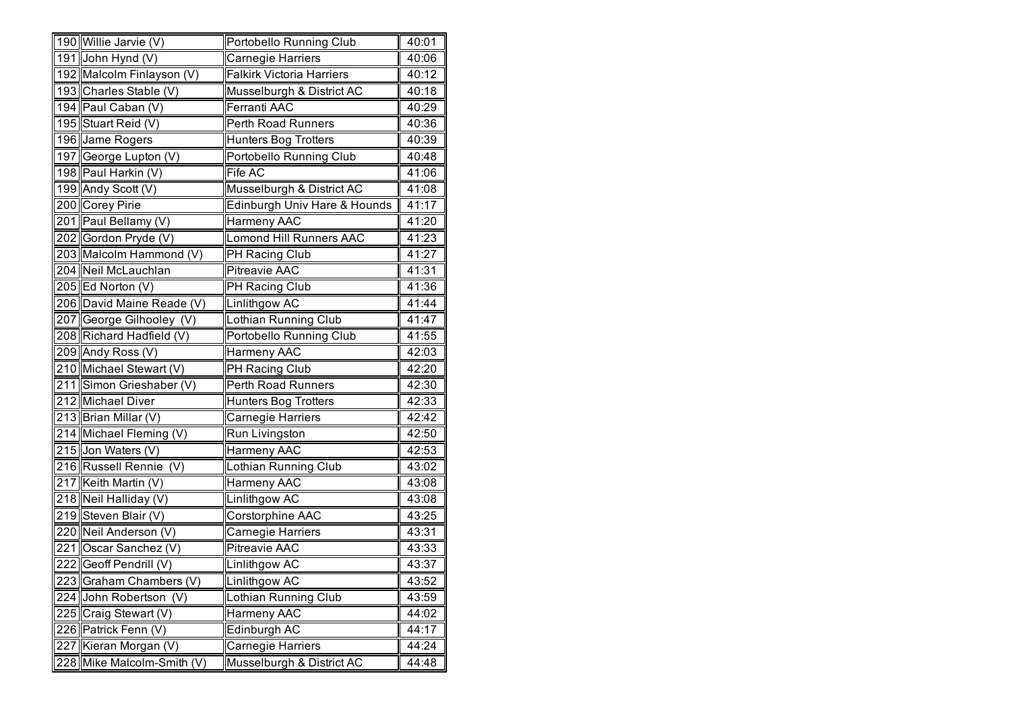|     | 190 Willie Jarvie (V)      | Portobello Running Club          | 40:01 |
|-----|----------------------------|----------------------------------|-------|
|     | 191 John Hynd (V)          | Carnegie Harriers                | 40:06 |
|     | 192 Malcolm Finlayson (V)  | <b>Falkirk Victoria Harriers</b> | 40:12 |
|     | 193 Charles Stable (V)     | Musselburgh & District AC        | 40:18 |
|     | 194 Paul Caban (V)         | Ferranti AAC                     | 40:29 |
|     | 195 Stuart Reid (V)        | Perth Road Runners               | 40:36 |
|     | 196 Jame Rogers            | <b>Hunters Bog Trotters</b>      | 40:39 |
|     | 197 George Lupton (V)      | Portobello Running Club          | 40:48 |
|     | 198 Paul Harkin (V)        | Fife AC                          | 41:06 |
|     | 199 Andy Scott (V)         | Musselburgh & District AC        | 41:08 |
|     | 200 Corey Pirie            | Edinburgh Univ Hare & Hounds     | 41:17 |
|     | 201 Paul Bellamy (V)       | Harmeny AAC                      | 41:20 |
|     | 202 Gordon Pryde (V)       | <b>Lomond Hill Runners AAC</b>   | 41:23 |
|     | 203 Malcolm Hammond (V)    | PH Racing Club                   | 41:27 |
|     | 204 Neil McLauchlan        | <b>Pitreavie AAC</b>             | 41:31 |
|     | 205 Ed Norton (V)          | PH Racing Club                   | 41:36 |
|     | 206 David Maine Reade (V)  | Linlithgow AC                    | 41:44 |
|     | 207 George Gilhooley (V)   | Lothian Running Club             | 41:47 |
|     | 208 Richard Hadfield (V)   | Portobello Running Club          | 41:55 |
|     | 209 Andy Ross (V)          | Harmeny AAC                      | 42:03 |
|     | 210 Michael Stewart (V)    | PH Racing Club                   | 42:20 |
|     | 211 Simon Grieshaber (V)   | Perth Road Runners               | 42:30 |
|     | 212 Michael Diver          | <b>Hunters Bog Trotters</b>      | 42:33 |
|     | 213 Brian Millar (V)       | Carnegie Harriers                | 42:42 |
|     | 214 Michael Fleming (V)    | Run Livingston                   | 42:50 |
|     | 215 Jon Waters (V)         | Harmeny AAC                      | 42:53 |
|     | 216 Russell Rennie (V)     | Lothian Running Club             | 43:02 |
|     | 217 Keith Martin (V)       | Harmeny AAC                      | 43:08 |
|     | 218 Neil Halliday (V)      | Linlithgow AC                    | 43:08 |
|     | 219 Steven Blair (V)       | Corstorphine AAC                 | 43:25 |
|     | 220 Neil Anderson (V)      | Carnegie Harriers                | 43:31 |
| 221 | Oscar Sanchez (V)          | Pitreavie AAC                    | 43:33 |
|     | 222 Geoff Pendrill (V)     | Linlithgow AC                    | 43:37 |
| 223 | Graham Chambers (V)        | Linlithgow AC                    | 43:52 |
| 224 | John Robertson<br>(V)      | Lothian Running Club             | 43:59 |
|     | 225 Craig Stewart (V)      | Harmeny AAC                      | 44:02 |
|     | 226 Patrick Fenn (V)       | Edinburgh AC                     | 44:17 |
|     | 227 Kieran Morgan (V)      | Carnegie Harriers                | 44:24 |
|     | 228 Mike Malcolm-Smith (V) | Musselburgh & District AC        | 44:48 |